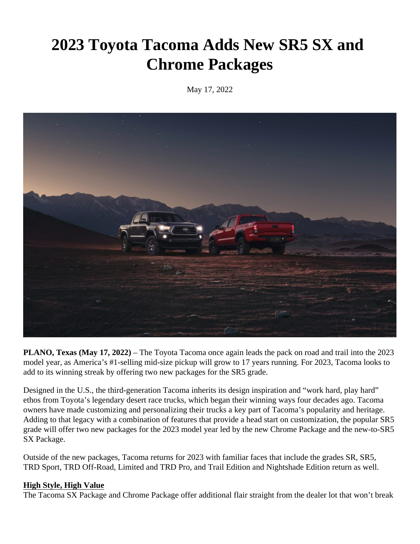# **2023 Toyota Tacoma Adds New SR5 SX and Chrome Packages**

May 17, 2022



**PLANO, Texas (May 17, 2022)** – The Toyota Tacoma once again leads the pack on road and trail into the 2023 model year, as America's #1-selling mid-size pickup will grow to 17 years running. For 2023, Tacoma looks to add to its winning streak by offering two new packages for the SR5 grade.

Designed in the U.S., the third-generation Tacoma inherits its design inspiration and "work hard, play hard" ethos from Toyota's legendary desert race trucks, which began their winning ways four decades ago. Tacoma owners have made customizing and personalizing their trucks a key part of Tacoma's popularity and heritage. Adding to that legacy with a combination of features that provide a head start on customization, the popular SR5 grade will offer two new packages for the 2023 model year led by the new Chrome Package and the new-to-SR5 SX Package.

Outside of the new packages, Tacoma returns for 2023 with familiar faces that include the grades SR, SR5, TRD Sport, TRD Off-Road, Limited and TRD Pro, and Trail Edition and Nightshade Edition return as well.

#### **High Style, High Value**

The Tacoma SX Package and Chrome Package offer additional flair straight from the dealer lot that won't break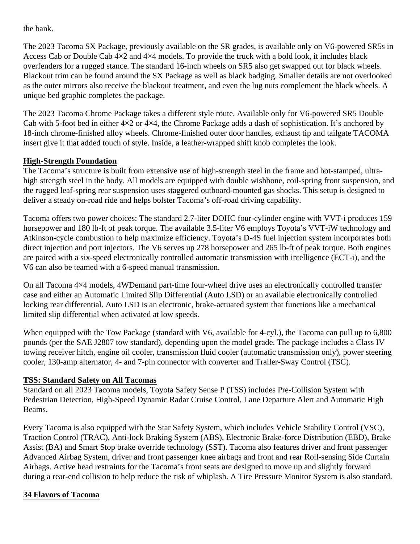the bank.

The 2023 Tacoma SX Package, previously available on the SR grades, is available only on V6-powered SR5s in Access Cab or Double Cab 4×2 and 4×4 models. To provide the truck with a bold look, it includes black overfenders for a rugged stance. The standard 16-inch wheels on SR5 also get swapped out for black wheels. Blackout trim can be found around the SX Package as well as black badging. Smaller details are not overlooked as the outer mirrors also receive the blackout treatment, and even the lug nuts complement the black wheels. A unique bed graphic completes the package.

The 2023 Tacoma Chrome Package takes a different style route. Available only for V6-powered SR5 Double Cab with 5-foot bed in either  $4\times2$  or  $4\times4$ , the Chrome Package adds a dash of sophistication. It's anchored by 18-inch chrome-finished alloy wheels. Chrome-finished outer door handles, exhaust tip and tailgate TACOMA insert give it that added touch of style. Inside, a leather-wrapped shift knob completes the look.

#### **High-Strength Foundation**

The Tacoma's structure is built from extensive use of high-strength steel in the frame and hot-stamped, ultrahigh strength steel in the body. All models are equipped with double wishbone, coil-spring front suspension, and the rugged leaf-spring rear suspension uses staggered outboard-mounted gas shocks. This setup is designed to deliver a steady on-road ride and helps bolster Tacoma's off-road driving capability.

Tacoma offers two power choices: The standard 2.7-liter DOHC four-cylinder engine with VVT-i produces 159 horsepower and 180 lb-ft of peak torque. The available 3.5-liter V6 employs Toyota's VVT-iW technology and Atkinson-cycle combustion to help maximize efficiency. Toyota's D-4S fuel injection system incorporates both direct injection and port injectors. The V6 serves up 278 horsepower and 265 lb-ft of peak torque. Both engines are paired with a six-speed electronically controlled automatic transmission with intelligence (ECT-i), and the V6 can also be teamed with a 6-speed manual transmission.

On all Tacoma 4×4 models, 4WDemand part-time four-wheel drive uses an electronically controlled transfer case and either an Automatic Limited Slip Differential (Auto LSD) or an available electronically controlled locking rear differential. Auto LSD is an electronic, brake-actuated system that functions like a mechanical limited slip differential when activated at low speeds.

When equipped with the Tow Package (standard with V6, available for 4-cyl.), the Tacoma can pull up to 6,800 pounds (per the SAE J2807 tow standard), depending upon the model grade. The package includes a Class IV towing receiver hitch, engine oil cooler, transmission fluid cooler (automatic transmission only), power steering cooler, 130-amp alternator, 4- and 7-pin connector with converter and Trailer-Sway Control (TSC).

#### **TSS: Standard Safety on All Tacomas**

Standard on all 2023 Tacoma models, Toyota Safety Sense P (TSS) includes Pre-Collision System with Pedestrian Detection, High-Speed Dynamic Radar Cruise Control, Lane Departure Alert and Automatic High Beams.

Every Tacoma is also equipped with the Star Safety System, which includes Vehicle Stability Control (VSC), Traction Control (TRAC), Anti-lock Braking System (ABS), Electronic Brake-force Distribution (EBD), Brake Assist (BA) and Smart Stop brake override technology (SST). Tacoma also features driver and front passenger Advanced Airbag System, driver and front passenger knee airbags and front and rear Roll-sensing Side Curtain Airbags. Active head restraints for the Tacoma's front seats are designed to move up and slightly forward during a rear-end collision to help reduce the risk of whiplash. A Tire Pressure Monitor System is also standard.

# **34 Flavors of Tacoma**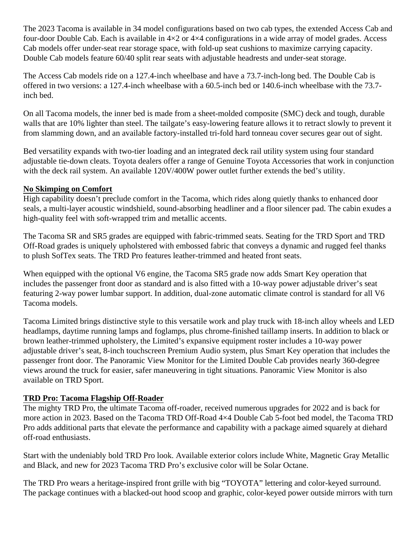The 2023 Tacoma is available in 34 model configurations based on two cab types, the extended Access Cab and four-door Double Cab. Each is available in 4×2 or 4×4 configurations in a wide array of model grades. Access Cab models offer under-seat rear storage space, with fold-up seat cushions to maximize carrying capacity. Double Cab models feature 60/40 split rear seats with adjustable headrests and under-seat storage.

The Access Cab models ride on a 127.4-inch wheelbase and have a 73.7-inch-long bed. The Double Cab is offered in two versions: a 127.4-inch wheelbase with a 60.5-inch bed or 140.6-inch wheelbase with the 73.7 inch bed.

On all Tacoma models, the inner bed is made from a sheet-molded composite (SMC) deck and tough, durable walls that are 10% lighter than steel. The tailgate's easy-lowering feature allows it to retract slowly to prevent it from slamming down, and an available factory-installed tri-fold hard tonneau cover secures gear out of sight.

Bed versatility expands with two-tier loading and an integrated deck rail utility system using four standard adjustable tie-down cleats. Toyota dealers offer a range of Genuine Toyota Accessories that work in conjunction with the deck rail system. An available 120V/400W power outlet further extends the bed's utility.

#### **No Skimping on Comfort**

High capability doesn't preclude comfort in the Tacoma, which rides along quietly thanks to enhanced door seals, a multi-layer acoustic windshield, sound-absorbing headliner and a floor silencer pad. The cabin exudes a high-quality feel with soft-wrapped trim and metallic accents.

The Tacoma SR and SR5 grades are equipped with fabric-trimmed seats. Seating for the TRD Sport and TRD Off-Road grades is uniquely upholstered with embossed fabric that conveys a dynamic and rugged feel thanks to plush SofTex seats. The TRD Pro features leather-trimmed and heated front seats.

When equipped with the optional V6 engine, the Tacoma SR5 grade now adds Smart Key operation that includes the passenger front door as standard and is also fitted with a 10-way power adjustable driver's seat featuring 2-way power lumbar support. In addition, dual-zone automatic climate control is standard for all V6 Tacoma models.

Tacoma Limited brings distinctive style to this versatile work and play truck with 18-inch alloy wheels and LED headlamps, daytime running lamps and foglamps, plus chrome-finished taillamp inserts. In addition to black or brown leather-trimmed upholstery, the Limited's expansive equipment roster includes a 10-way power adjustable driver's seat, 8-inch touchscreen Premium Audio system, plus Smart Key operation that includes the passenger front door. The Panoramic View Monitor for the Limited Double Cab provides nearly 360-degree views around the truck for easier, safer maneuvering in tight situations. Panoramic View Monitor is also available on TRD Sport.

# **TRD Pro: Tacoma Flagship Off-Roader**

The mighty TRD Pro, the ultimate Tacoma off-roader, received numerous upgrades for 2022 and is back for more action in 2023. Based on the Tacoma TRD Off-Road 4×4 Double Cab 5-foot bed model, the Tacoma TRD Pro adds additional parts that elevate the performance and capability with a package aimed squarely at diehard off-road enthusiasts.

Start with the undeniably bold TRD Pro look. Available exterior colors include White, Magnetic Gray Metallic and Black, and new for 2023 Tacoma TRD Pro's exclusive color will be Solar Octane.

The TRD Pro wears a heritage-inspired front grille with big "TOYOTA" lettering and color-keyed surround. The package continues with a blacked-out hood scoop and graphic, color-keyed power outside mirrors with turn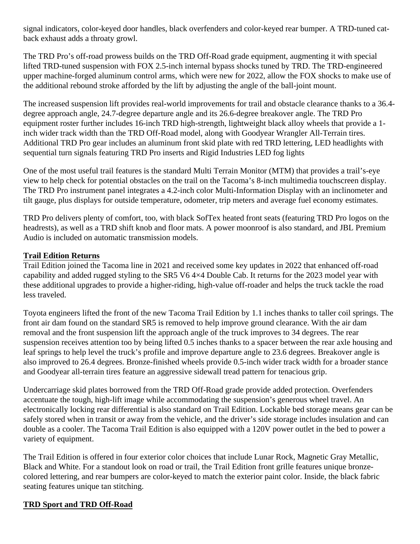signal indicators, color-keyed door handles, black overfenders and color-keyed rear bumper. A TRD-tuned catback exhaust adds a throaty growl.

The TRD Pro's off-road prowess builds on the TRD Off-Road grade equipment, augmenting it with special lifted TRD-tuned suspension with FOX 2.5-inch internal bypass shocks tuned by TRD. The TRD-engineered upper machine-forged aluminum control arms, which were new for 2022, allow the FOX shocks to make use of the additional rebound stroke afforded by the lift by adjusting the angle of the ball-joint mount.

The increased suspension lift provides real-world improvements for trail and obstacle clearance thanks to a 36.4 degree approach angle, 24.7-degree departure angle and its 26.6-degree breakover angle. The TRD Pro equipment roster further includes 16-inch TRD high-strength, lightweight black alloy wheels that provide a 1 inch wider track width than the TRD Off-Road model, along with Goodyear Wrangler All-Terrain tires. Additional TRD Pro gear includes an aluminum front skid plate with red TRD lettering, LED headlights with sequential turn signals featuring TRD Pro inserts and Rigid Industries LED fog lights

One of the most useful trail features is the standard Multi Terrain Monitor (MTM) that provides a trail's-eye view to help check for potential obstacles on the trail on the Tacoma's 8-inch multimedia touchscreen display. The TRD Pro instrument panel integrates a 4.2-inch color Multi-Information Display with an inclinometer and tilt gauge, plus displays for outside temperature, odometer, trip meters and average fuel economy estimates.

TRD Pro delivers plenty of comfort, too, with black SofTex heated front seats (featuring TRD Pro logos on the headrests), as well as a TRD shift knob and floor mats. A power moonroof is also standard, and JBL Premium Audio is included on automatic transmission models.

#### **Trail Edition Returns**

Trail Edition joined the Tacoma line in 2021 and received some key updates in 2022 that enhanced off-road capability and added rugged styling to the SR5 V6 4×4 Double Cab. It returns for the 2023 model year with these additional upgrades to provide a higher-riding, high-value off-roader and helps the truck tackle the road less traveled.

Toyota engineers lifted the front of the new Tacoma Trail Edition by 1.1 inches thanks to taller coil springs. The front air dam found on the standard SR5 is removed to help improve ground clearance. With the air dam removal and the front suspension lift the approach angle of the truck improves to 34 degrees. The rear suspension receives attention too by being lifted 0.5 inches thanks to a spacer between the rear axle housing and leaf springs to help level the truck's profile and improve departure angle to 23.6 degrees. Breakover angle is also improved to 26.4 degrees. Bronze-finished wheels provide 0.5-inch wider track width for a broader stance and Goodyear all-terrain tires feature an aggressive sidewall tread pattern for tenacious grip.

Undercarriage skid plates borrowed from the TRD Off-Road grade provide added protection. Overfenders accentuate the tough, high-lift image while accommodating the suspension's generous wheel travel. An electronically locking rear differential is also standard on Trail Edition. Lockable bed storage means gear can be safely stored when in transit or away from the vehicle, and the driver's side storage includes insulation and can double as a cooler. The Tacoma Trail Edition is also equipped with a 120V power outlet in the bed to power a variety of equipment.

The Trail Edition is offered in four exterior color choices that include Lunar Rock, Magnetic Gray Metallic, Black and White. For a standout look on road or trail, the Trail Edition front grille features unique bronzecolored lettering, and rear bumpers are color-keyed to match the exterior paint color. Inside, the black fabric seating features unique tan stitching.

# **TRD Sport and TRD Off-Road**